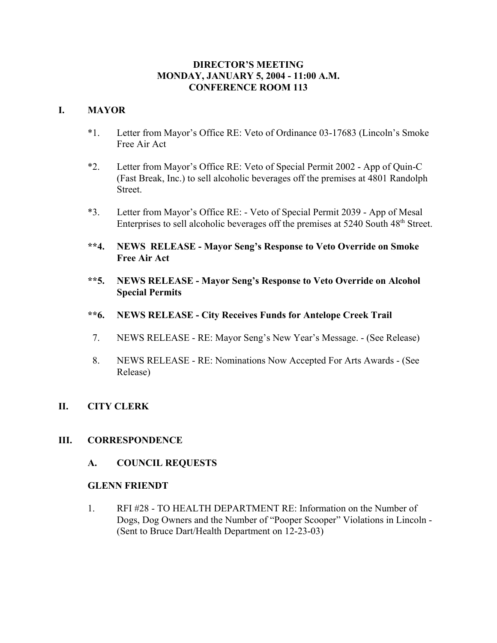## **DIRECTOR'S MEETING MONDAY, JANUARY 5, 2004 - 11:00 A.M. CONFERENCE ROOM 113**

# **I. MAYOR**

- \*1. Letter from Mayor's Office RE: Veto of Ordinance 03-17683 (Lincoln's Smoke Free Air Act
- \*2. Letter from Mayor's Office RE: Veto of Special Permit 2002 App of Quin-C (Fast Break, Inc.) to sell alcoholic beverages off the premises at 4801 Randolph Street.
- \*3. Letter from Mayor's Office RE: Veto of Special Permit 2039 App of Mesal Enterprises to sell alcoholic beverages off the premises at 5240 South 48<sup>th</sup> Street.
- **\*\*4. NEWS RELEASE Mayor Seng's Response to Veto Override on Smoke Free Air Act**
- **\*\*5. NEWS RELEASE Mayor Seng's Response to Veto Override on Alcohol Special Permits**
- **\*\*6. NEWS RELEASE City Receives Funds for Antelope Creek Trail**
- 7. NEWS RELEASE RE: Mayor Seng's New Year's Message. (See Release)
- 8. NEWS RELEASE RE: Nominations Now Accepted For Arts Awards (See Release)
- **II. CITY CLERK**

## **III. CORRESPONDENCE**

**A. COUNCIL REQUESTS**

## **GLENN FRIENDT**

1. RFI #28 - TO HEALTH DEPARTMENT RE: Information on the Number of Dogs, Dog Owners and the Number of "Pooper Scooper" Violations in Lincoln - (Sent to Bruce Dart/Health Department on 12-23-03)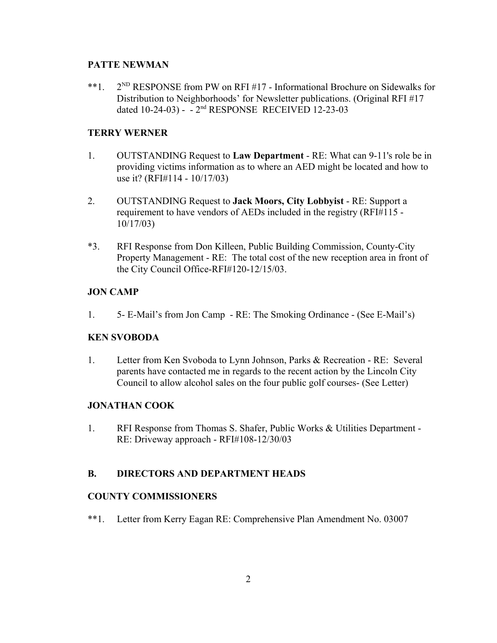### **PATTE NEWMAN**

\*\*1.  $2^{ND}$  RESPONSE from PW on RFI #17 - Informational Brochure on Sidewalks for Distribution to Neighborhoods' for Newsletter publications. (Original RFI #17 dated 10-24-03) - - 2nd RESPONSE RECEIVED 12-23-03

## **TERRY WERNER**

- 1. OUTSTANDING Request to **Law Department** RE: What can 9-11's role be in providing victims information as to where an AED might be located and how to use it? (RFI#114 - 10/17/03)
- 2. OUTSTANDING Request to **Jack Moors, City Lobbyist** RE: Support a requirement to have vendors of AEDs included in the registry (RFI#115 - 10/17/03)
- \*3. RFI Response from Don Killeen, Public Building Commission, County-City Property Management - RE: The total cost of the new reception area in front of the City Council Office-RFI#120-12/15/03.

### **JON CAMP**

1. 5- E-Mail's from Jon Camp - RE: The Smoking Ordinance - (See E-Mail's)

### **KEN SVOBODA**

1. Letter from Ken Svoboda to Lynn Johnson, Parks & Recreation - RE: Several parents have contacted me in regards to the recent action by the Lincoln City Council to allow alcohol sales on the four public golf courses- (See Letter)

### **JONATHAN COOK**

1. RFI Response from Thomas S. Shafer, Public Works & Utilities Department - RE: Driveway approach - RFI#108-12/30/03

## **B. DIRECTORS AND DEPARTMENT HEADS**

### **COUNTY COMMISSIONERS**

\*\*1. Letter from Kerry Eagan RE: Comprehensive Plan Amendment No. 03007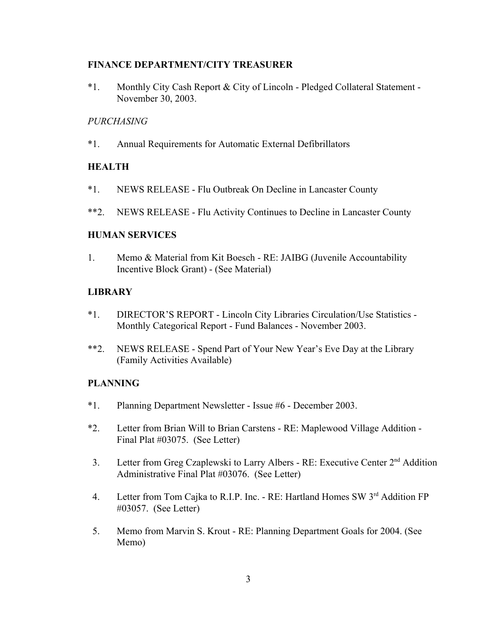### **FINANCE DEPARTMENT/CITY TREASURER**

\*1. Monthly City Cash Report & City of Lincoln - Pledged Collateral Statement - November 30, 2003.

#### *PURCHASING*

\*1. Annual Requirements for Automatic External Defibrillators

### **HEALTH**

- \*1. NEWS RELEASE Flu Outbreak On Decline in Lancaster County
- \*\*2. NEWS RELEASE Flu Activity Continues to Decline in Lancaster County

#### **HUMAN SERVICES**

1. Memo & Material from Kit Boesch - RE: JAIBG (Juvenile Accountability Incentive Block Grant) - (See Material)

#### **LIBRARY**

- \*1. DIRECTOR'S REPORT Lincoln City Libraries Circulation/Use Statistics Monthly Categorical Report - Fund Balances - November 2003.
- \*\*2. NEWS RELEASE Spend Part of Your New Year's Eve Day at the Library (Family Activities Available)

### **PLANNING**

- \*1. Planning Department Newsletter Issue #6 December 2003.
- \*2. Letter from Brian Will to Brian Carstens RE: Maplewood Village Addition Final Plat #03075. (See Letter)
- 3. Letter from Greg Czaplewski to Larry Albers RE: Executive Center 2nd Addition Administrative Final Plat #03076. (See Letter)
- 4. Letter from Tom Cajka to R.I.P. Inc. RE: Hartland Homes SW 3rd Addition FP #03057. (See Letter)
- 5. Memo from Marvin S. Krout RE: Planning Department Goals for 2004. (See Memo)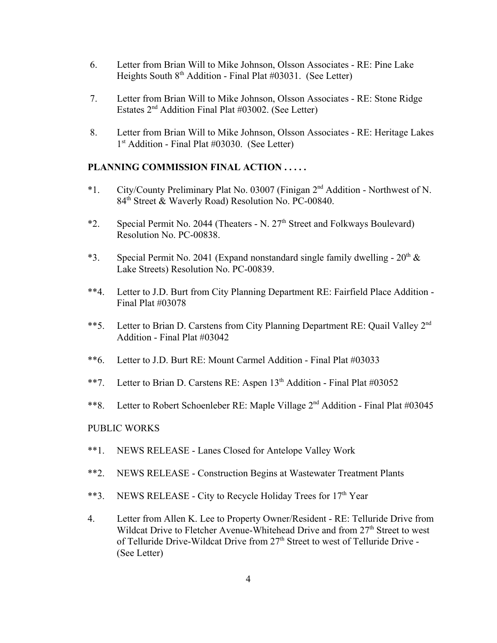- 6. Letter from Brian Will to Mike Johnson, Olsson Associates RE: Pine Lake Heights South 8<sup>th</sup> Addition - Final Plat #03031. (See Letter)
- 7. Letter from Brian Will to Mike Johnson, Olsson Associates RE: Stone Ridge Estates  $2<sup>nd</sup>$  Addition Final Plat #03002. (See Letter)
- 8. Letter from Brian Will to Mike Johnson, Olsson Associates RE: Heritage Lakes 1<sup>st</sup> Addition - Final Plat #03030. (See Letter)

### **PLANNING COMMISSION FINAL ACTION . . . . .**

- \*1. City/County Preliminary Plat No. 03007 (Finigan 2nd Addition Northwest of N. 84<sup>th</sup> Street & Waverly Road) Resolution No. PC-00840.
- \*2. Special Permit No. 2044 (Theaters N. 27th Street and Folkways Boulevard) Resolution No. PC-00838.
- \*3. Special Permit No. 2041 (Expand nonstandard single family dwelling  $20<sup>th</sup> \&$ Lake Streets) Resolution No. PC-00839.
- \*\*4. Letter to J.D. Burt from City Planning Department RE: Fairfield Place Addition Final Plat #03078
- \*\*5. Letter to Brian D. Carstens from City Planning Department RE: Quail Valley 2<sup>nd</sup> Addition - Final Plat #03042
- \*\*6. Letter to J.D. Burt RE: Mount Carmel Addition Final Plat #03033
- \*\*7. Letter to Brian D. Carstens RE: Aspen  $13<sup>th</sup>$  Addition Final Plat #03052
- \*\*8. Letter to Robert Schoenleber RE: Maple Village 2nd Addition Final Plat #03045

#### PUBLIC WORKS

- \*\*1. NEWS RELEASE Lanes Closed for Antelope Valley Work
- \*\*2. NEWS RELEASE Construction Begins at Wastewater Treatment Plants
- \*\*3. NEWS RELEASE City to Recycle Holiday Trees for  $17<sup>th</sup>$  Year
- 4. Letter from Allen K. Lee to Property Owner/Resident RE: Telluride Drive from Wildcat Drive to Fletcher Avenue-Whitehead Drive and from 27<sup>th</sup> Street to west of Telluride Drive-Wildcat Drive from  $27<sup>th</sup>$  Street to west of Telluride Drive -(See Letter)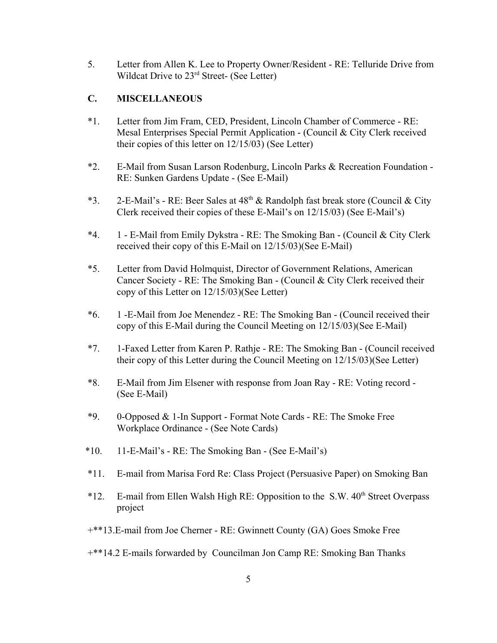5. Letter from Allen K. Lee to Property Owner/Resident - RE: Telluride Drive from Wildcat Drive to 23<sup>rd</sup> Street- (See Letter)

## **C. MISCELLANEOUS**

- \*1. Letter from Jim Fram, CED, President, Lincoln Chamber of Commerce RE: Mesal Enterprises Special Permit Application - (Council & City Clerk received their copies of this letter on 12/15/03) (See Letter)
- \*2. E-Mail from Susan Larson Rodenburg, Lincoln Parks & Recreation Foundation RE: Sunken Gardens Update - (See E-Mail)
- \*3. 2-E-Mail's RE: Beer Sales at  $48<sup>th</sup>$  & Randolph fast break store (Council & City Clerk received their copies of these E-Mail's on 12/15/03) (See E-Mail's)
- \*4. 1 E-Mail from Emily Dykstra RE: The Smoking Ban (Council & City Clerk received their copy of this E-Mail on 12/15/03)(See E-Mail)
- \*5. Letter from David Holmquist, Director of Government Relations, American Cancer Society - RE: The Smoking Ban - (Council & City Clerk received their copy of this Letter on 12/15/03)(See Letter)
- \*6. 1 -E-Mail from Joe Menendez RE: The Smoking Ban (Council received their copy of this E-Mail during the Council Meeting on 12/15/03)(See E-Mail)
- \*7. 1-Faxed Letter from Karen P. Rathje RE: The Smoking Ban (Council received their copy of this Letter during the Council Meeting on 12/15/03)(See Letter)
- \*8. E-Mail from Jim Elsener with response from Joan Ray RE: Voting record (See E-Mail)
- \*9. 0-Opposed & 1-In Support Format Note Cards RE: The Smoke Free Workplace Ordinance - (See Note Cards)
- \*10. 11-E-Mail's RE: The Smoking Ban (See E-Mail's)
- \*11. E-mail from Marisa Ford Re: Class Project (Persuasive Paper) on Smoking Ban
- $*12.$  E-mail from Ellen Walsh High RE: Opposition to the S.W.  $40<sup>th</sup>$  Street Overpass project
- +\*\*13.E-mail from Joe Cherner RE: Gwinnett County (GA) Goes Smoke Free
- +\*\*14.2 E-mails forwarded by Councilman Jon Camp RE: Smoking Ban Thanks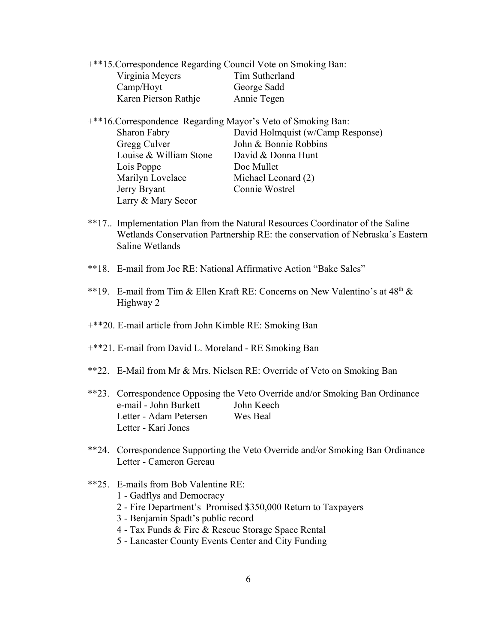| <sup>***</sup> 15. Correspondence Regarding Council Vote on Smoking Ban: |                |
|--------------------------------------------------------------------------|----------------|
| Virginia Meyers                                                          | Tim Sutherland |
| Camp/Hoyt                                                                | George Sadd    |
| Karen Pierson Rathje                                                     | Annie Tegen    |

+\*\*16.Correspondence Regarding Mayor's Veto of Smoking Ban:

| Sharon Fabry           | David Holmquist (w/Camp Response) |
|------------------------|-----------------------------------|
| Gregg Culver           | John & Bonnie Robbins             |
| Louise & William Stone | David & Donna Hunt                |
| Lois Poppe             | Doc Mullet                        |
| Marilyn Lovelace       | Michael Leonard (2)               |
| Jerry Bryant           | Connie Wostrel                    |
| Larry & Mary Secor     |                                   |

- \*\*17.. Implementation Plan from the Natural Resources Coordinator of the Saline Wetlands Conservation Partnership RE: the conservation of Nebraska's Eastern Saline Wetlands
- \*\*18. E-mail from Joe RE: National Affirmative Action "Bake Sales"
- \*\*19. E-mail from Tim & Ellen Kraft RE: Concerns on New Valentino's at  $48<sup>th</sup>$  & Highway 2
- +\*\*20. E-mail article from John Kimble RE: Smoking Ban
- +\*\*21. E-mail from David L. Moreland RE Smoking Ban
- \*\*22. E-Mail from Mr & Mrs. Nielsen RE: Override of Veto on Smoking Ban
- \*\*23. Correspondence Opposing the Veto Override and/or Smoking Ban Ordinance e-mail - John Burkett John Keech Letter - Adam Petersen Wes Beal Letter - Kari Jones
- \*\*24. Correspondence Supporting the Veto Override and/or Smoking Ban Ordinance Letter - Cameron Gereau
- \*\*25. E-mails from Bob Valentine RE:
	- 1 Gadflys and Democracy
	- 2 Fire Department's Promised \$350,000 Return to Taxpayers
	- 3 Benjamin Spadt's public record
	- 4 Tax Funds & Fire & Rescue Storage Space Rental
	- 5 Lancaster County Events Center and City Funding